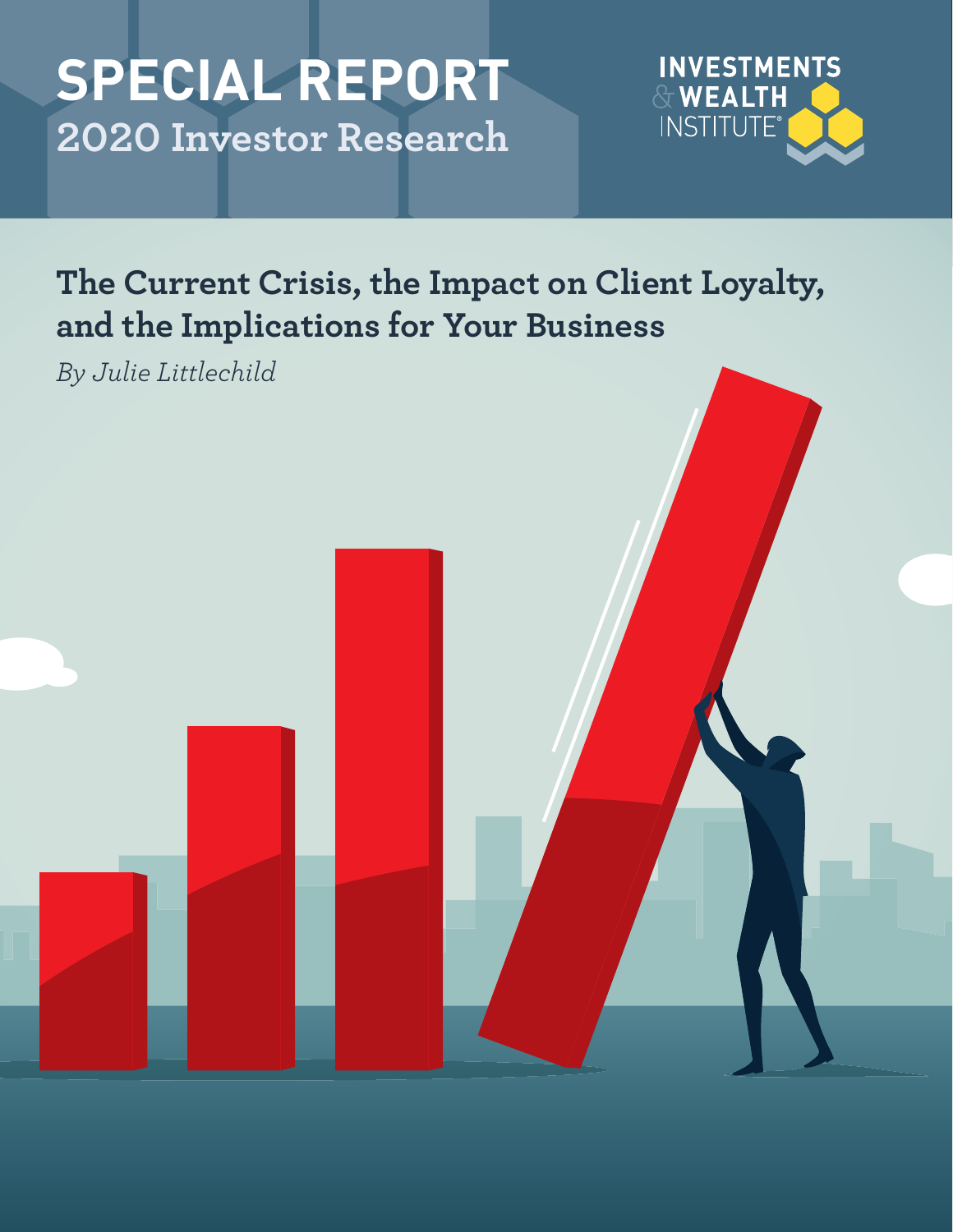# **SPECIAL REPORT 2020 Investor Research**



# **The Current Crisis, the Impact on Client Loyalty, and the Implications for Your Business**

*By Julie Littlechild*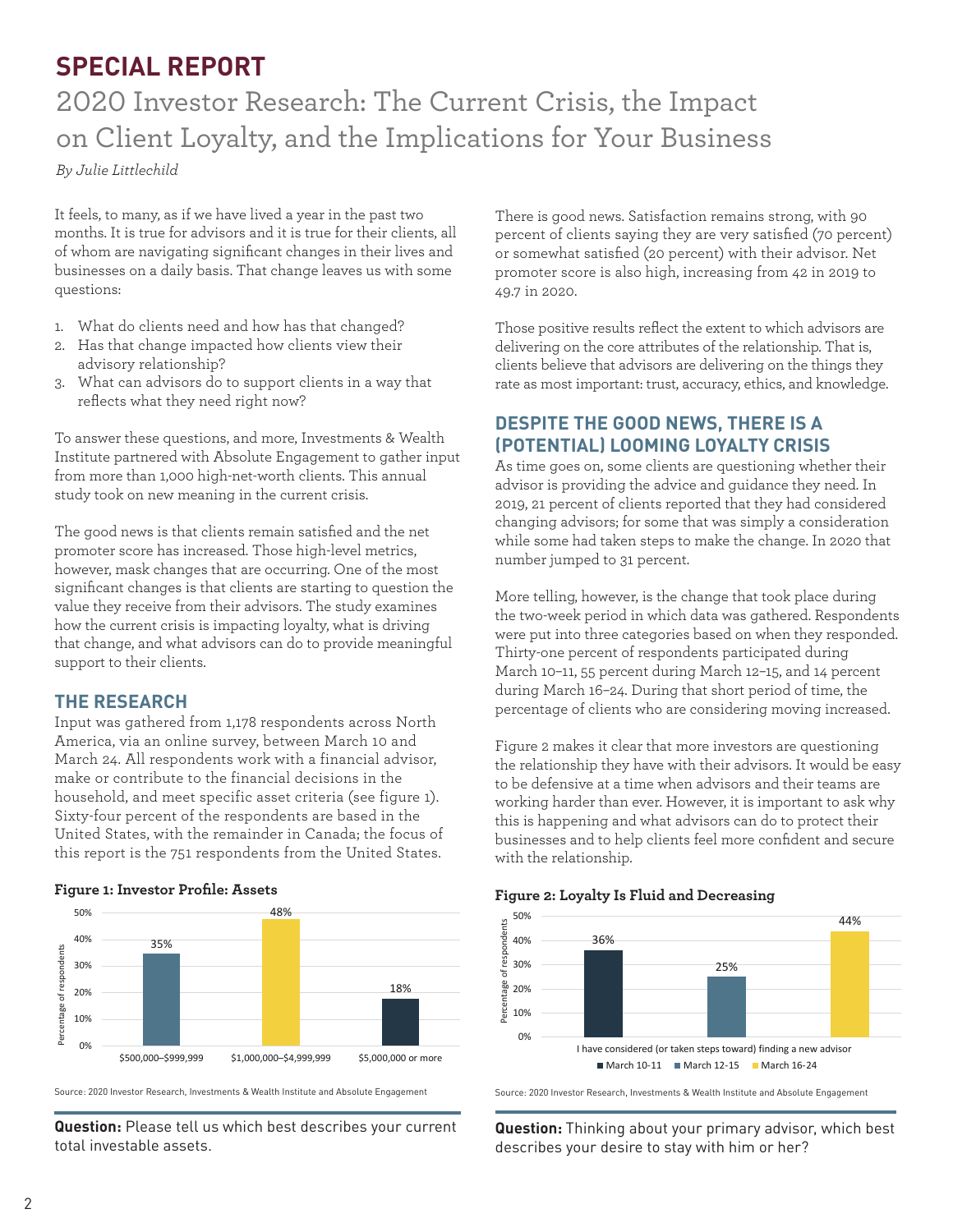# **SPECIAL REPORT**

# 2020 Investor Research: The Current Crisis, the Impact on Client Loyalty, and the Implications for Your Business

*By Julie Littlechild*

It feels, to many, as if we have lived a year in the past two months. It is true for advisors and it is true for their clients, all of whom are navigating significant changes in their lives and businesses on a daily basis. That change leaves us with some questions:

- 1. What do clients need and how has that changed?
- 2. Has that change impacted how clients view their advisory relationship?
- 3. What can advisors do to support clients in a way that reflects what they need right now?

To answer these questions, and more, Investments & Wealth Institute partnered with Absolute Engagement to gather input from more than 1,000 high-net-worth clients. This annual study took on new meaning in the current crisis.

The good news is that clients remain satisfied and the net promoter score has increased. Those high-level metrics, however, mask changes that are occurring. One of the most significant changes is that clients are starting to question the value they receive from their advisors. The study examines how the current crisis is impacting loyalty, what is driving that change, and what advisors can do to provide meaningful support to their clients.

# **THE RESEARCH**

Input was gathered from 1,178 respondents across North America, via an online survey, between March 10 and March 24. All respondents work with a financial advisor, make or contribute to the financial decisions in the household, and meet specific asset criteria (see figure 1). Sixty-four percent of the respondents are based in the United States, with the remainder in Canada; the focus of this report is the 751 respondents from the United States.

#### **Figure 1: Investor Profile: Assets**



Source: 2020 Investor Research, Investments & Wealth Institute and Absolute Engagement

**Question:** Please tell us which best describes your current total investable assets.

There is good news. Satisfaction remains strong, with 90 percent of clients saying they are very satisfied (70 percent) or somewhat satisfied (20 percent) with their advisor. Net promoter score is also high, increasing from 42 in 2019 to 49.7 in 2020.

Those positive results reflect the extent to which advisors are delivering on the core attributes of the relationship. That is, clients believe that advisors are delivering on the things they rate as most important: trust, accuracy, ethics, and knowledge.

# **DESPITE THE GOOD NEWS, THERE IS A (POTENTIAL) LOOMING LOYALTY CRISIS**

As time goes on, some clients are questioning whether their advisor is providing the advice and guidance they need. In 2019, 21 percent of clients reported that they had considered changing advisors; for some that was simply a consideration while some had taken steps to make the change. In 2020 that number jumped to 31 percent.

More telling, however, is the change that took place during the two-week period in which data was gathered. Respondents were put into three categories based on when they responded. Thirty-one percent of respondents participated during March 10–11, 55 percent during March 12–15, and 14 percent during March 16–24. During that short period of time, the percentage of clients who are considering moving increased.

Figure 2 makes it clear that more investors are questioning the relationship they have with their advisors. It would be easy to be defensive at a time when advisors and their teams are working harder than ever. However, it is important to ask why this is happening and what advisors can do to protect their businesses and to help clients feel more confident and secure with the relationship.



#### **Figure 2: Loyalty Is Fluid and Decreasing**

Source: 2020 Investor Research, Investments & Wealth Institute and Absolute Engagement

**Question:** Thinking about your primary advisor, which best describes your desire to stay with him or her?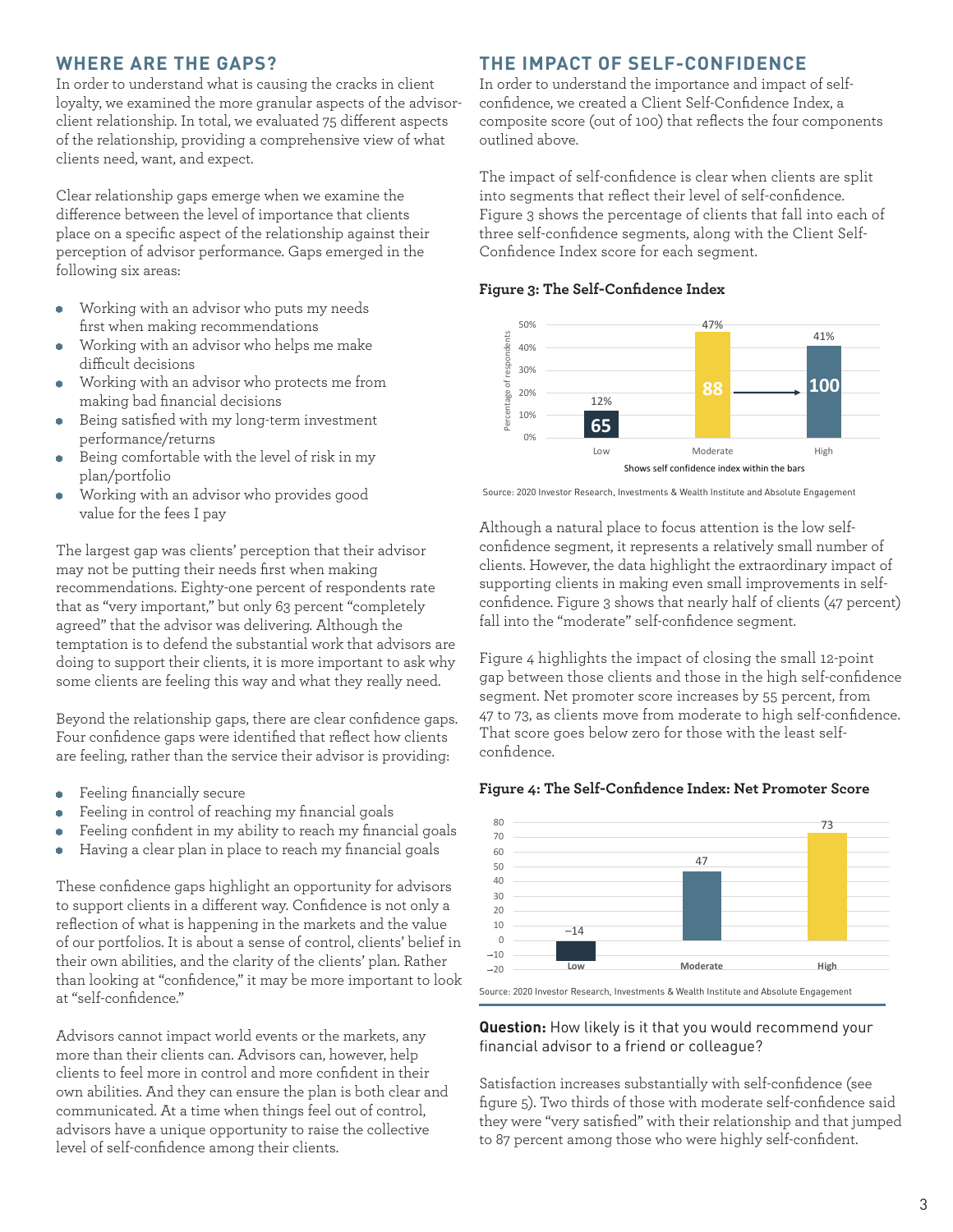# **WHERE ARE THE GAPS?**

In order to understand what is causing the cracks in client loyalty, we examined the more granular aspects of the advisorclient relationship. In total, we evaluated 75 different aspects of the relationship, providing a comprehensive view of what clients need, want, and expect.

Clear relationship gaps emerge when we examine the difference between the level of importance that clients place on a specific aspect of the relationship against their perception of advisor performance. Gaps emerged in the following six areas:

- Working with an advisor who puts my needs  $\bullet$ first when making recommendations
- Working with an advisor who helps me make difficult decisions
- Working with an advisor who protects me from making bad financial decisions
- Being satisfied with my long-term investment ٠ performance/returns
- Being comfortable with the level of risk in my plan/portfolio
- Working with an advisor who provides good value for the fees I pay

The largest gap was clients' perception that their advisor may not be putting their needs first when making recommendations. Eighty-one percent of respondents rate that as "very important," but only 63 percent "completely agreed" that the advisor was delivering. Although the temptation is to defend the substantial work that advisors are doing to support their clients, it is more important to ask why some clients are feeling this way and what they really need.

Beyond the relationship gaps, there are clear confidence gaps. Four confidence gaps were identified that reflect how clients are feeling, rather than the service their advisor is providing:

- Feeling financially secure  $\bullet$
- Feeling in control of reaching my financial goals ö
- Feeling confident in my ability to reach my financial goals  $\bullet$
- Having a clear plan in place to reach my financial goals

These confidence gaps highlight an opportunity for advisors to support clients in a different way. Confidence is not only a reflection of what is happening in the markets and the value of our portfolios. It is about a sense of control, clients' belief in their own abilities, and the clarity of the clients' plan. Rather than looking at "confidence," it may be more important to look at "self-confidence."

Advisors cannot impact world events or the markets, any more than their clients can. Advisors can, however, help clients to feel more in control and more confident in their own abilities. And they can ensure the plan is both clear and communicated. At a time when things feel out of control, advisors have a unique opportunity to raise the collective level of self-confidence among their clients.

### **THE IMPACT OF SELF-CONFIDENCE**

In order to understand the importance and impact of selfconfidence, we created a Client Self-Confidence Index, a composite score (out of 100) that reflects the four components outlined above.

The impact of self-confidence is clear when clients are split into segments that reflect their level of self-confidence. Figure 3 shows the percentage of clients that fall into each of three self-confidence segments, along with the Client Self-Confidence Index score for each segment.

#### **Figure 3: The Self-Confidence Index**



Source: 2020 Investor Research, Investments & Wealth Institute and Absolute Engagement

Although a natural place to focus attention is the low selfconfidence segment, it represents a relatively small number of clients. However, the data highlight the extraordinary impact of supporting clients in making even small improvements in selfconfidence. Figure 3 shows that nearly half of clients (47 percent) fall into the "moderate" self-confidence segment.

Figure 4 highlights the impact of closing the small 12-point gap between those clients and those in the high self-confidence segment. Net promoter score increases by 55 percent, from 47 to 73, as clients move from moderate to high self-confidence. That score goes below zero for those with the least selfconfidence.

#### **Figure 4: The Self-Confidence Index: Net Promoter Score**



**Question:** How likely is it that you would recommend your financial advisor to a friend or colleague?

Satisfaction increases substantially with self-confidence (see figure 5). Two thirds of those with moderate self-confidence said they were "very satisfied" with their relationship and that jumped to 87 percent among those who were highly self-confident.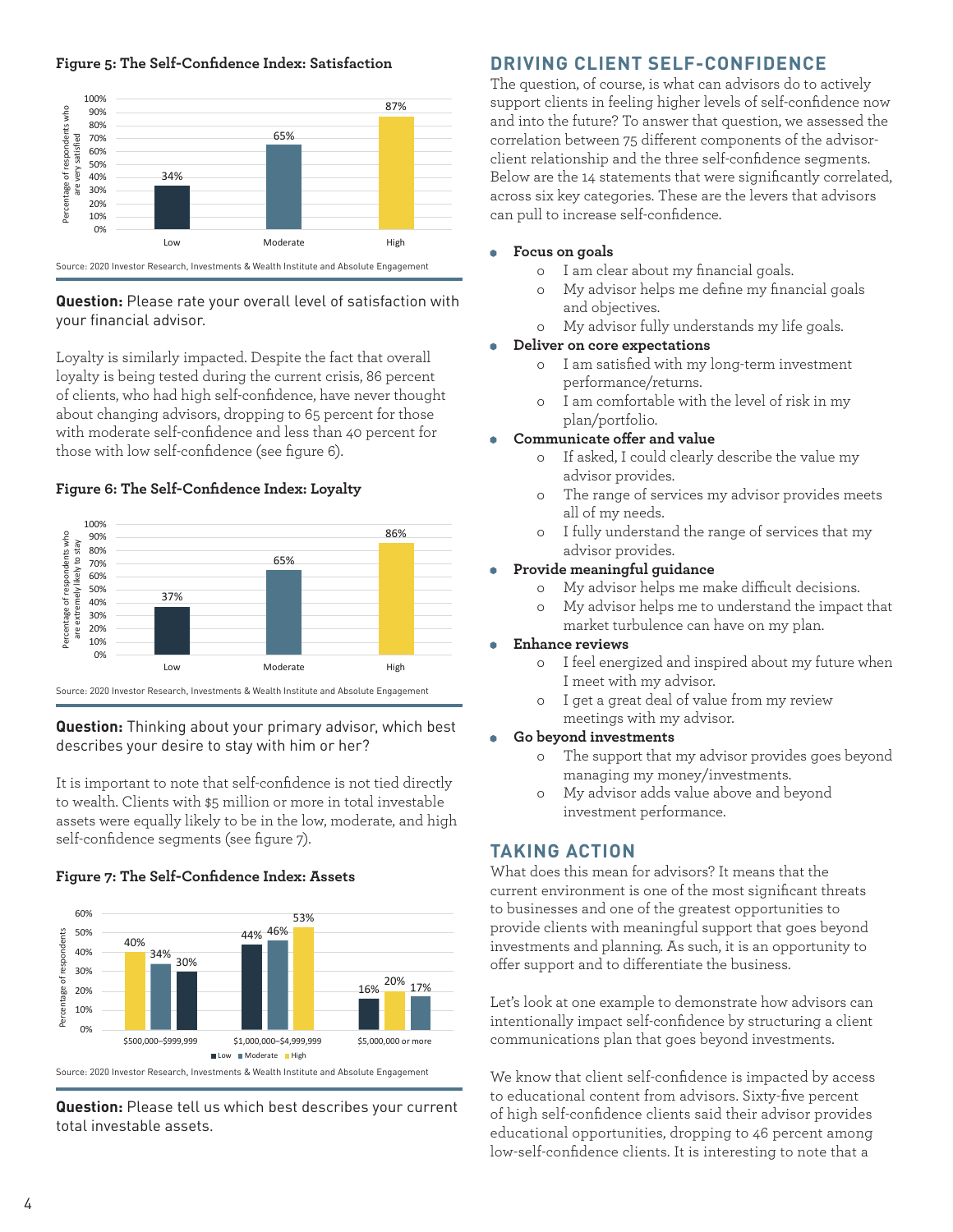#### **Figure 5: The Self-Confidence Index: Satisfaction**



**Question:** Please rate your overall level of satisfaction with your financial advisor.

Loyalty is similarly impacted. Despite the fact that overall loyalty is being tested during the current crisis, 86 percent of clients, who had high self-confidence, have never thought about changing advisors, dropping to 65 percent for those with moderate self-confidence and less than 40 percent for those with low self-confidence (see figure 6).

#### **Figure 6: The Self-Confidence Index: Loyalty**



**Question:** Thinking about your primary advisor, which best describes your desire to stay with him or her?

It is important to note that self-confidence is not tied directly to wealth. Clients with \$5 million or more in total investable assets were equally likely to be in the low, moderate, and high self-confidence segments (see figure 7).

#### **Figure 7: The Self-Confidence Index: Assets**



**Question:** Please tell us which best describes your current total investable assets.

## **DRIVING CLIENT SELF-CONFIDENCE**

The question, of course, is what can advisors do to actively support clients in feeling higher levels of self-confidence now and into the future? To answer that question, we assessed the correlation between 75 different components of the advisorclient relationship and the three self-confidence segments. Below are the 14 statements that were significantly correlated, across six key categories. These are the levers that advisors can pull to increase self-confidence.

#### **Focus on goals**

- o I am clear about my financial goals.
- o My advisor helps me define my financial goals and objectives.
- o My advisor fully understands my life goals.

#### **Deliver on core expectations**

- o I am satisfied with my long-term investment performance/returns.
- o I am comfortable with the level of risk in my plan/portfolio.

#### **Communicate offer and value**

- o If asked, I could clearly describe the value my advisor provides.
- o The range of services my advisor provides meets all of my needs.
- o I fully understand the range of services that my advisor provides.

#### **Provide meaningful guidance**

- o My advisor helps me make difficult decisions.
- o My advisor helps me to understand the impact that market turbulence can have on my plan.
- **Enhance reviews**
	- o I feel energized and inspired about my future when I meet with my advisor.
	- o I get a great deal of value from my review meetings with my advisor.

#### **Go beyond investments**

- o The support that my advisor provides goes beyond managing my money/investments.
- o My advisor adds value above and beyond investment performance.

#### **TAKING ACTION**

What does this mean for advisors? It means that the current environment is one of the most significant threats to businesses and one of the greatest opportunities to provide clients with meaningful support that goes beyond investments and planning. As such, it is an opportunity to offer support and to differentiate the business.

Let's look at one example to demonstrate how advisors can intentionally impact self-confidence by structuring a client communications plan that goes beyond investments.

We know that client self-confidence is impacted by access to educational content from advisors. Sixty-five percent of high self-confidence clients said their advisor provides educational opportunities, dropping to 46 percent among low-self-confidence clients. It is interesting to note that a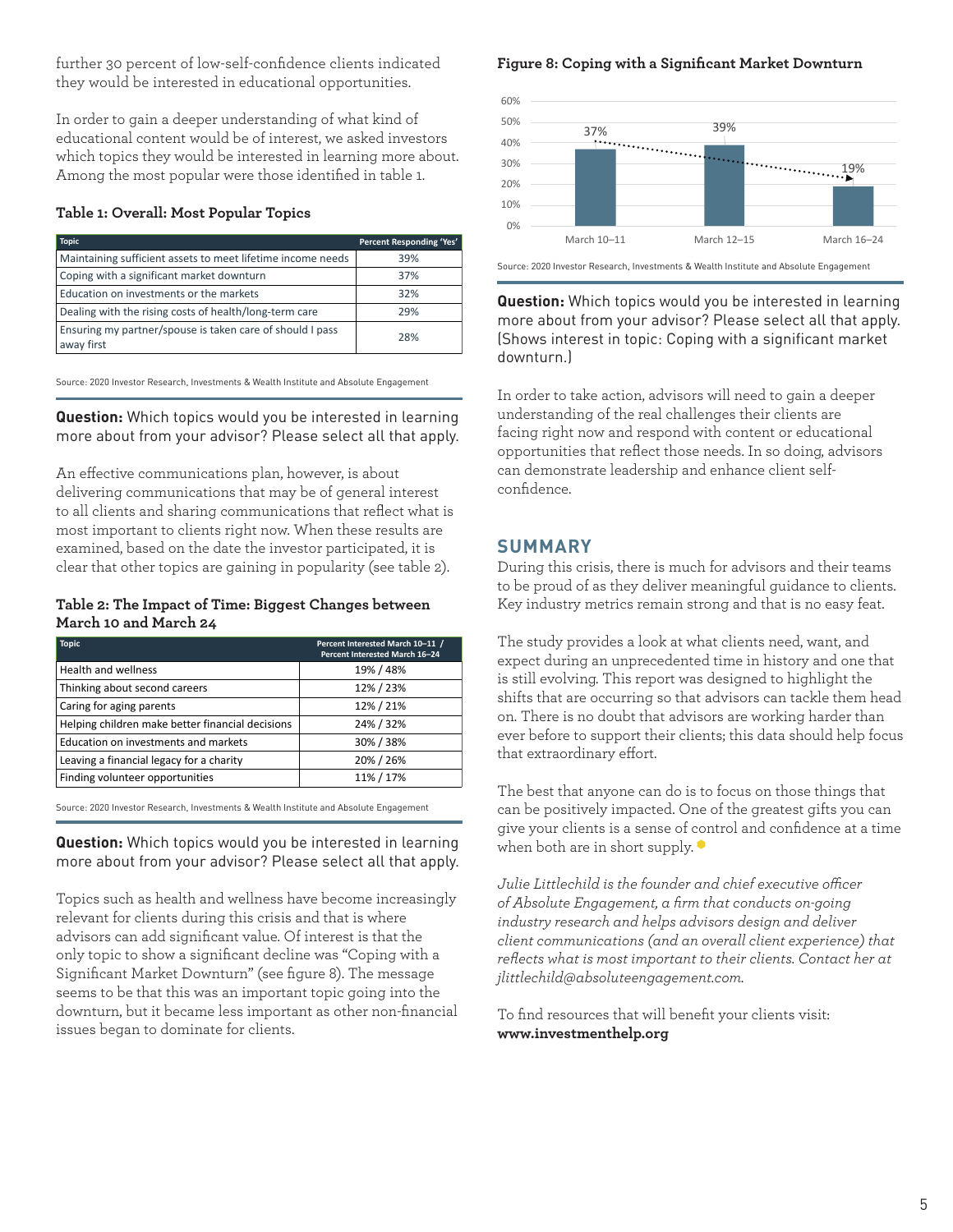further 30 percent of low-self-confidence clients indicated they would be interested in educational opportunities.

In order to gain a deeper understanding of what kind of educational content would be of interest, we asked investors which topics they would be interested in learning more about. Among the most popular were those identified in table 1.

### **Table 1: Overall: Most Popular Topics**

| <b>Topic</b>                                                            | <b>Percent Responding 'Yes'</b> |
|-------------------------------------------------------------------------|---------------------------------|
| Maintaining sufficient assets to meet lifetime income needs             | 39%                             |
| Coping with a significant market downturn                               | 37%                             |
| Education on investments or the markets                                 | 32%                             |
| Dealing with the rising costs of health/long-term care                  | 29%                             |
| Ensuring my partner/spouse is taken care of should I pass<br>away first | 28%                             |

Source: 2020 Investor Research, Investments & Wealth Institute and Absolute Engagement

**Question:** Which topics would you be interested in learning more about from your advisor? Please select all that apply.

An effective communications plan, however, is about delivering communications that may be of general interest to all clients and sharing communications that reflect what is most important to clients right now. When these results are examined, based on the date the investor participated, it is clear that other topics are gaining in popularity (see table 2).

#### **Table 2: The Impact of Time: Biggest Changes between March 10 and March 24**

| <b>Topic</b>                                     | Percent Interested March 10-11 /<br>Percent Interested March 16-24 |
|--------------------------------------------------|--------------------------------------------------------------------|
| Health and wellness                              | 19% / 48%                                                          |
| Thinking about second careers                    | 12%/23%                                                            |
| Caring for aging parents                         | 12%/21%                                                            |
| Helping children make better financial decisions | 24% / 32%                                                          |
| Education on investments and markets             | 30% / 38%                                                          |
| Leaving a financial legacy for a charity         | 20% / 26%                                                          |
| Finding volunteer opportunities                  | 11% / 17%                                                          |

Source: 2020 Investor Research, Investments & Wealth Institute and Absolute Engagement

**Question:** Which topics would you be interested in learning more about from your advisor? Please select all that apply.

Topics such as health and wellness have become increasingly relevant for clients during this crisis and that is where advisors can add significant value. Of interest is that the only topic to show a significant decline was "Coping with a Significant Market Downturn" (see figure 8). The message seems to be that this was an important topic going into the downturn, but it became less important as other non-financial issues began to dominate for clients.

#### **Figure 8: Coping with a Significant Market Downturn**



Source: 2020 Investor Research, Investments & Wealth Institute and Absolute Engagement

**Question:** Which topics would you be interested in learning more about from your advisor? Please select all that apply. (Shows interest in topic: Coping with a significant market downturn.)

In order to take action, advisors will need to gain a deeper understanding of the real challenges their clients are facing right now and respond with content or educational opportunities that reflect those needs. In so doing, advisors can demonstrate leadership and enhance client selfconfidence.

### **SUMMARY**

During this crisis, there is much for advisors and their teams to be proud of as they deliver meaningful guidance to clients. Key industry metrics remain strong and that is no easy feat.

The study provides a look at what clients need, want, and expect during an unprecedented time in history and one that is still evolving. This report was designed to highlight the shifts that are occurring so that advisors can tackle them head on. There is no doubt that advisors are working harder than ever before to support their clients; this data should help focus that extraordinary effort.

The best that anyone can do is to focus on those things that can be positively impacted. One of the greatest gifts you can give your clients is a sense of control and confidence at a time when both are in short supply.

*Julie Littlechild is the founder and chief executive officer of Absolute Engagement, a firm that conducts on-going industry research and helps advisors design and deliver client communications (and an overall client experience) that reflects what is most important to their clients. Contact her at jlittlechild@absoluteengagement.com.*

To find resources that will benefit your clients visit: **www.investmenthelp.org**